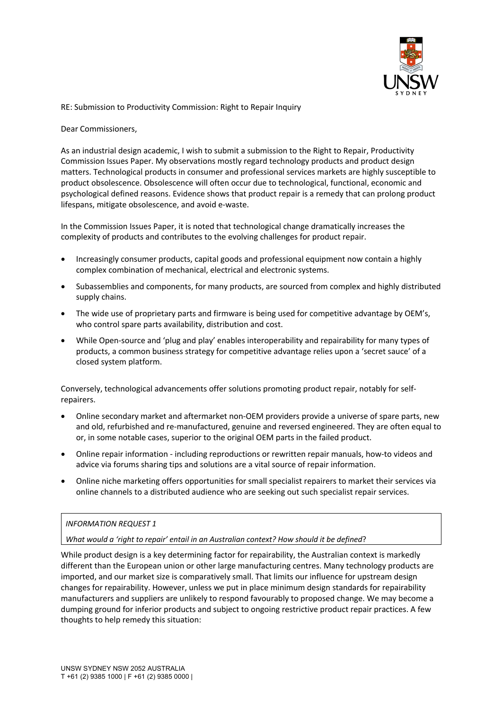

RE: Submission to Productivity Commission: Right to Repair Inquiry

Dear Commissioners,

As an industrial design academic, I wish to submit a submission to the Right to Repair, Productivity Commission Issues Paper. My observations mostly regard technology products and product design matters. Technological products in consumer and professional services markets are highly susceptible to product obsolescence. Obsolescence will often occur due to technological, functional, economic and psychological defined reasons. Evidence shows that product repair is a remedy that can prolong product lifespans, mitigate obsolescence, and avoid e-waste.

In the Commission Issues Paper, it is noted that technological change dramatically increases the complexity of products and contributes to the evolving challenges for product repair.

- Increasingly consumer products, capital goods and professional equipment now contain a highly complex combination of mechanical, electrical and electronic systems.
- Subassemblies and components, for many products, are sourced from complex and highly distributed supply chains.
- The wide use of proprietary parts and firmware is being used for competitive advantage by OEM's, who control spare parts availability, distribution and cost.
- While Open-source and 'plug and play' enables interoperability and repairability for many types of products, a common business strategy for competitive advantage relies upon a 'secret sauce' of a closed system platform.

Conversely, technological advancements offer solutions promoting product repair, notably for selfrepairers.

- Online secondary market and aftermarket non-OEM providers provide a universe of spare parts, new and old, refurbished and re-manufactured, genuine and reversed engineered. They are often equal to or, in some notable cases, superior to the original OEM parts in the failed product.
- Online repair information including reproductions or rewritten repair manuals, how-to videos and advice via forums sharing tips and solutions are a vital source of repair information.
- Online niche marketing offers opportunities for small specialist repairers to market their services via online channels to a distributed audience who are seeking out such specialist repair services.

# *INFORMATION REQUEST 1*

*What would a 'right to repair' entail in an Australian context? How should it be defined*?

While product design is a key determining factor for repairability, the Australian context is markedly different than the European union or other large manufacturing centres. Many technology products are imported, and our market size is comparatively small. That limits our influence for upstream design changes for repairability. However, unless we put in place minimum design standards for repairability manufacturers and suppliers are unlikely to respond favourably to proposed change. We may become a dumping ground for inferior products and subject to ongoing restrictive product repair practices. A few thoughts to help remedy this situation: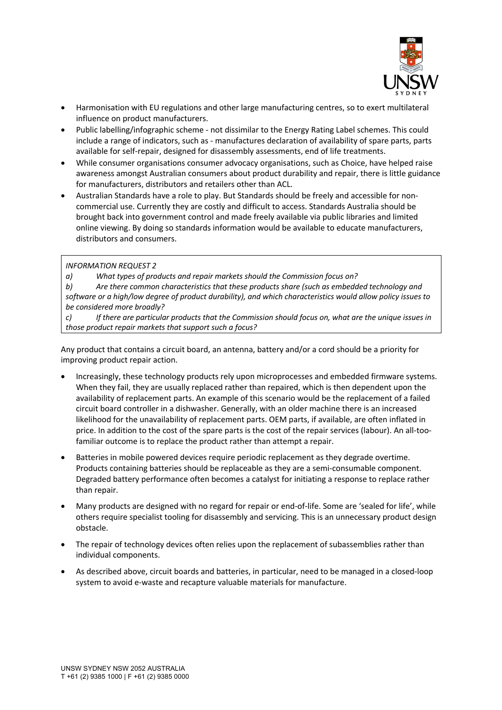

- Harmonisation with EU regulations and other large manufacturing centres, so to exert multilateral influence on product manufacturers.
- Public labelling/infographic scheme not dissimilar to the Energy Rating Label schemes. This could include a range of indicators, such as - manufactures declaration of availability of spare parts, parts available for self-repair, designed for disassembly assessments, end of life treatments.
- While consumer organisations consumer advocacy organisations, such as Choice, have helped raise awareness amongst Australian consumers about product durability and repair, there is little guidance for manufacturers, distributors and retailers other than ACL.
- Australian Standards have a role to play. But Standards should be freely and accessible for noncommercial use. Currently they are costly and difficult to access. Standards Australia should be brought back into government control and made freely available via public libraries and limited online viewing. By doing so standards information would be available to educate manufacturers, distributors and consumers.

# *INFORMATION REQUEST 2*

*a) What types of products and repair markets should the Commission focus on?*

*b) Are there common characteristics that these products share (such as embedded technology and software or a high/low degree of product durability), and which characteristics would allow policy issues to be considered more broadly?*

*c) If there are particular products that the Commission should focus on, what are the unique issues in those product repair markets that support such a focus?*

Any product that contains a circuit board, an antenna, battery and/or a cord should be a priority for improving product repair action.

- Increasingly, these technology products rely upon microprocesses and embedded firmware systems. When they fail, they are usually replaced rather than repaired, which is then dependent upon the availability of replacement parts. An example of this scenario would be the replacement of a failed circuit board controller in a dishwasher. Generally, with an older machine there is an increased likelihood for the unavailability of replacement parts. OEM parts, if available, are often inflated in price. In addition to the cost of the spare parts is the cost of the repair services (labour). An all-toofamiliar outcome is to replace the product rather than attempt a repair.
- Batteries in mobile powered devices require periodic replacement as they degrade overtime. Products containing batteries should be replaceable as they are a semi-consumable component. Degraded battery performance often becomes a catalyst for initiating a response to replace rather than repair.
- Many products are designed with no regard for repair or end-of-life. Some are 'sealed for life', while others require specialist tooling for disassembly and servicing. This is an unnecessary product design obstacle.
- The repair of technology devices often relies upon the replacement of subassemblies rather than individual components.
- As described above, circuit boards and batteries, in particular, need to be managed in a closed-loop system to avoid e-waste and recapture valuable materials for manufacture.